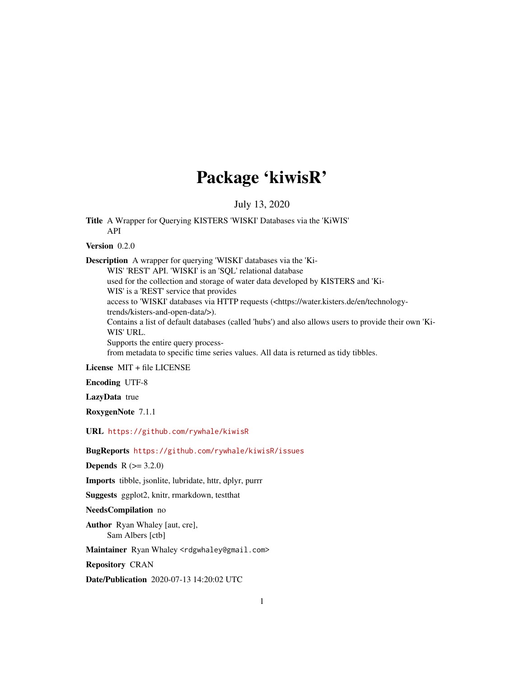## Package 'kiwisR'

July 13, 2020

Title A Wrapper for Querying KISTERS 'WISKI' Databases via the 'KiWIS' API

Version 0.2.0

Description A wrapper for querying 'WISKI' databases via the 'Ki-WIS' 'REST' API. 'WISKI' is an 'SQL' relational database used for the collection and storage of water data developed by KISTERS and 'Ki-WIS' is a 'REST' service that provides access to 'WISKI' databases via HTTP requests (<https://water.kisters.de/en/technologytrends/kisters-and-open-data/>). Contains a list of default databases (called 'hubs') and also allows users to provide their own 'Ki-WIS' URL. Supports the entire query processfrom metadata to specific time series values. All data is returned as tidy tibbles.

License MIT + file LICENSE

Encoding UTF-8

LazyData true

RoxygenNote 7.1.1

URL <https://github.com/rywhale/kiwisR>

BugReports <https://github.com/rywhale/kiwisR/issues>

**Depends** R  $(>= 3.2.0)$ 

Imports tibble, jsonlite, lubridate, httr, dplyr, purrr

Suggests ggplot2, knitr, rmarkdown, testthat

NeedsCompilation no

Author Ryan Whaley [aut, cre], Sam Albers [ctb]

Maintainer Ryan Whaley <rdgwhaley@gmail.com>

Repository CRAN

Date/Publication 2020-07-13 14:20:02 UTC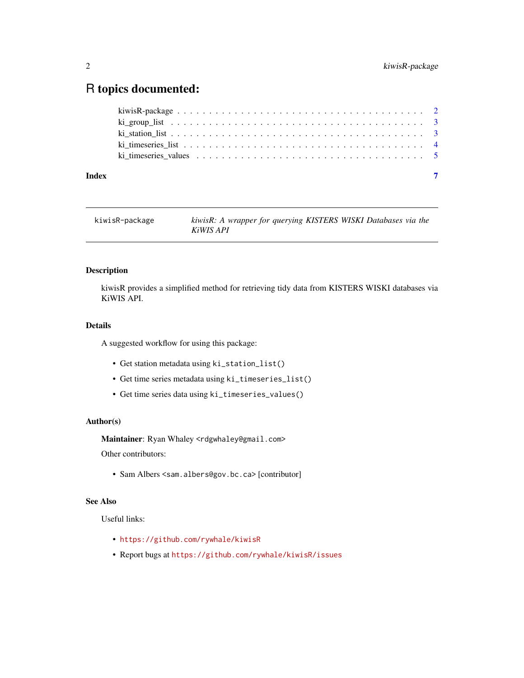### <span id="page-1-0"></span>R topics documented:

| Index |  |
|-------|--|

| kiwisR-package | kiwisR: A wrapper for querying KISTERS WISKI Databases via the |  |  |
|----------------|----------------------------------------------------------------|--|--|
|                | KiWIS API                                                      |  |  |

#### Description

kiwisR provides a simplified method for retrieving tidy data from KISTERS WISKI databases via KiWIS API.

#### Details

A suggested workflow for using this package:

- Get station metadata using ki\_station\_list()
- Get time series metadata using ki\_timeseries\_list()
- Get time series data using ki\_timeseries\_values()

#### Author(s)

Maintainer: Ryan Whaley <rdgwhaley@gmail.com>

Other contributors:

• Sam Albers <sam.albers@gov.bc.ca> [contributor]

#### See Also

Useful links:

- <https://github.com/rywhale/kiwisR>
- Report bugs at <https://github.com/rywhale/kiwisR/issues>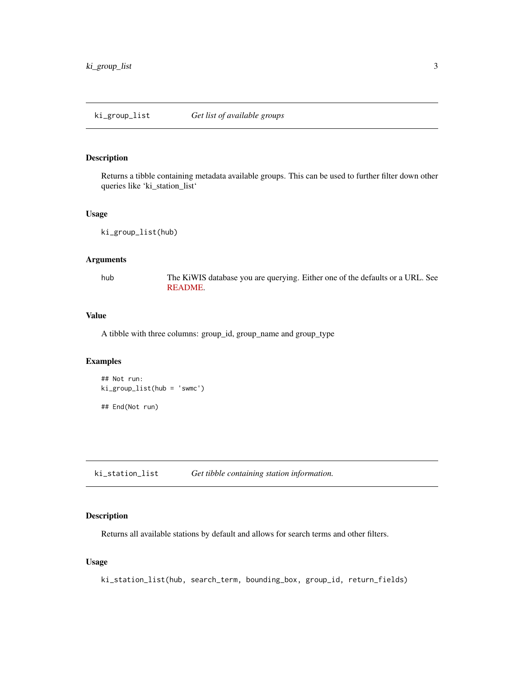#### <span id="page-2-0"></span>Description

Returns a tibble containing metadata available groups. This can be used to further filter down other queries like 'ki\_station\_list'

#### Usage

ki\_group\_list(hub)

#### Arguments

hub The KiWIS database you are querying. Either one of the defaults or a URL. See [README.](https://github.com/rywhale/kiwisR)

#### Value

A tibble with three columns: group\_id, group\_name and group\_type

#### Examples

```
## Not run:
ki_group_list(hub = 'swmc')
## End(Not run)
```
ki\_station\_list *Get tibble containing station information.*

#### Description

Returns all available stations by default and allows for search terms and other filters.

#### Usage

ki\_station\_list(hub, search\_term, bounding\_box, group\_id, return\_fields)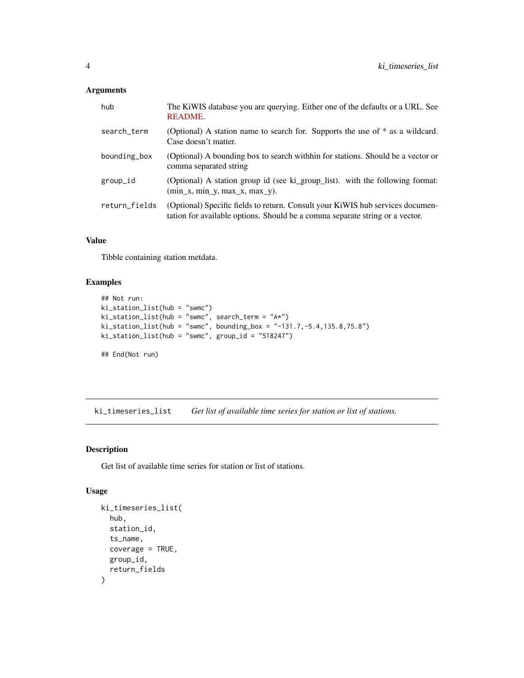#### <span id="page-3-0"></span>Arguments

| hub           | The KiWIS database you are querying. Either one of the defaults or a URL. See<br><b>README.</b>                                                                |
|---------------|----------------------------------------------------------------------------------------------------------------------------------------------------------------|
| search_term   | (Optional) A station name to search for. Supports the use of $*$ as a wildcard.<br>Case doesn't matter.                                                        |
| bounding_box  | (Optional) A bounding box to search with thin for stations. Should be a vector or<br>comma separated string                                                    |
| group_id      | (Optional) A station group id (see ki_group_list). with the following format:<br>$(\min_x, \min_y, \max_x, \max_y).$                                           |
| return_fields | (Optional) Specific fields to return. Consult your KiWIS hub services documen-<br>tation for available options. Should be a comma separate string or a vector. |

#### Value

Tibble containing station metdata.

#### Examples

```
## Not run:
ki_station_list(hub = "swmc")
ki_station_list(hub = "swmc", search_term = "A*")
ki_station_list(hub = "swmc", bounding_box = "-131.7,-5.4,135.8,75.8")
ki_station_list(hub = "swmc", group_id = "518247")
## End(Not run)
```
ki\_timeseries\_list *Get list of available time series for station or list of stations.*

#### Description

Get list of available time series for station or list of stations.

#### Usage

```
ki_timeseries_list(
  hub,
  station_id,
  ts_name,
  coverage = TRUE,
  group_id,
  return_fields
\mathcal{E}
```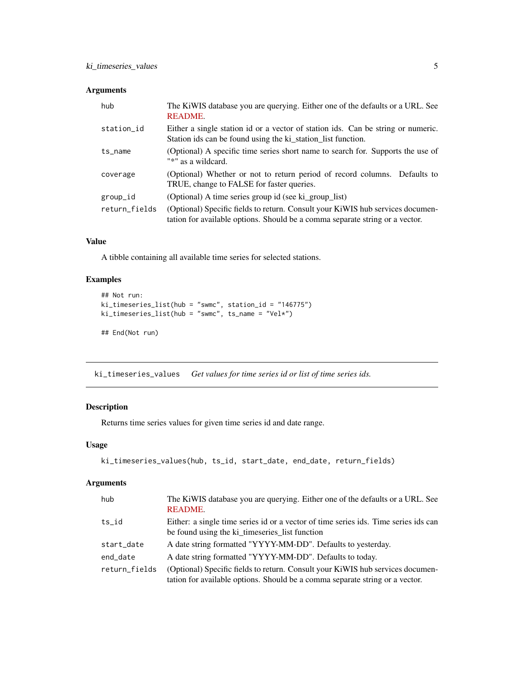#### <span id="page-4-0"></span>Arguments

| hub           | The KiWIS database you are querying. Either one of the defaults or a URL. See<br>README.                                                                       |
|---------------|----------------------------------------------------------------------------------------------------------------------------------------------------------------|
| station_id    | Either a single station id or a vector of station ids. Can be string or numeric.<br>Station ids can be found using the ki_station_list function.               |
| $ts_$ name    | (Optional) A specific time series short name to search for. Supports the use of<br>"*" as a wildcard.                                                          |
| coverage      | (Optional) Whether or not to return period of record columns. Defaults to<br>TRUE, change to FALSE for faster queries.                                         |
| group_id      | (Optional) A time series group id (see ki_group_list)                                                                                                          |
| return_fields | (Optional) Specific fields to return. Consult your KiWIS hub services documen-<br>tation for available options. Should be a comma separate string or a vector. |

#### Value

A tibble containing all available time series for selected stations.

#### Examples

```
## Not run:
ki_timeseries_list(hub = "swmc", station_id = "146775")
ki_timeseries_list(hub = "swmc", ts_name = "Vel*")
## End(Not run)
```
ki\_timeseries\_values *Get values for time series id or list of time series ids.*

#### Description

Returns time series values for given time series id and date range.

#### Usage

```
ki_timeseries_values(hub, ts_id, start_date, end_date, return_fields)
```
#### Arguments

| hub           | The KiWIS database you are querying. Either one of the defaults or a URL. See<br><b>README.</b>                                                                |
|---------------|----------------------------------------------------------------------------------------------------------------------------------------------------------------|
| $ts_id$       | Either: a single time series id or a vector of time series ids. Time series ids can<br>be found using the ki_timeseries_list function                          |
| start_date    | A date string formatted "YYYY-MM-DD". Defaults to yesterday.                                                                                                   |
| end_date      | A date string formatted "YYYY-MM-DD". Defaults to today.                                                                                                       |
| return_fields | (Optional) Specific fields to return. Consult your KiWIS hub services documen-<br>tation for available options. Should be a comma separate string or a vector. |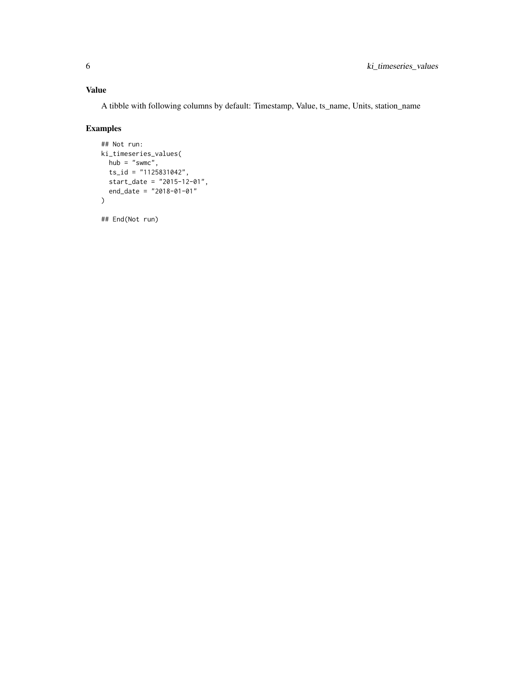#### Value

A tibble with following columns by default: Timestamp, Value, ts\_name, Units, station\_name

#### Examples

```
## Not run:
ki_timeseries_values(
 hub = "swmc",
 ts_id = "1125831042",
 start_date = "2015-12-01",
  end_date = "2018-01-01"
\mathcal{L}
```
## End(Not run)